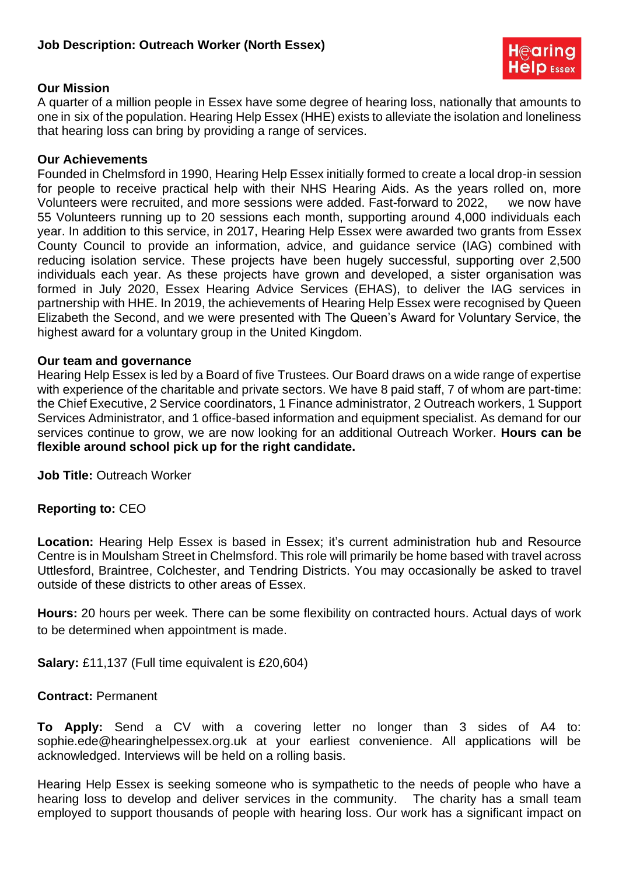

### **Our Mission**

A quarter of a million people in Essex have some degree of hearing loss, nationally that amounts to one in six of the population. Hearing Help Essex (HHE) exists to alleviate the isolation and loneliness that hearing loss can bring by providing a range of services.

#### **Our Achievements**

Founded in Chelmsford in 1990, Hearing Help Essex initially formed to create a local drop-in session for people to receive practical help with their NHS Hearing Aids. As the years rolled on, more Volunteers were recruited, and more sessions were added. Fast-forward to 2022, we now have 55 Volunteers running up to 20 sessions each month, supporting around 4,000 individuals each year. In addition to this service, in 2017, Hearing Help Essex were awarded two grants from Essex County Council to provide an information, advice, and guidance service (IAG) combined with reducing isolation service. These projects have been hugely successful, supporting over 2,500 individuals each year. As these projects have grown and developed, a sister organisation was formed in July 2020, Essex Hearing Advice Services (EHAS), to deliver the IAG services in partnership with HHE. In 2019, the achievements of Hearing Help Essex were recognised by Queen Elizabeth the Second, and we were presented with The Queen's Award for Voluntary Service, the highest award for a voluntary group in the United Kingdom.

#### **Our team and governance**

Hearing Help Essex is led by a Board of five Trustees. Our Board draws on a wide range of expertise with experience of the charitable and private sectors. We have 8 paid staff, 7 of whom are part-time: the Chief Executive, 2 Service coordinators, 1 Finance administrator, 2 Outreach workers, 1 Support Services Administrator, and 1 office-based information and equipment specialist. As demand for our services continue to grow, we are now looking for an additional Outreach Worker. **Hours can be flexible around school pick up for the right candidate.** 

**Job Title:** Outreach Worker

### **Reporting to:** CEO

Location: Hearing Help Essex is based in Essex; it's current administration hub and Resource Centre is in Moulsham Street in Chelmsford. This role will primarily be home based with travel across Uttlesford, Braintree, Colchester, and Tendring Districts. You may occasionally be asked to travel outside of these districts to other areas of Essex.

**Hours:** 20 hours per week. There can be some flexibility on contracted hours. Actual days of work to be determined when appointment is made.

**Salary:** £11,137 (Full time equivalent is £20,604)

### **Contract:** Permanent

**To Apply:** Send a CV with a covering letter no longer than 3 sides of A4 to: sophie.ede@hearinghelpessex.org.uk at your earliest convenience. All applications will be acknowledged. Interviews will be held on a rolling basis.

Hearing Help Essex is seeking someone who is sympathetic to the needs of people who have a hearing loss to develop and deliver services in the community. The charity has a small team employed to support thousands of people with hearing loss. Our work has a significant impact on